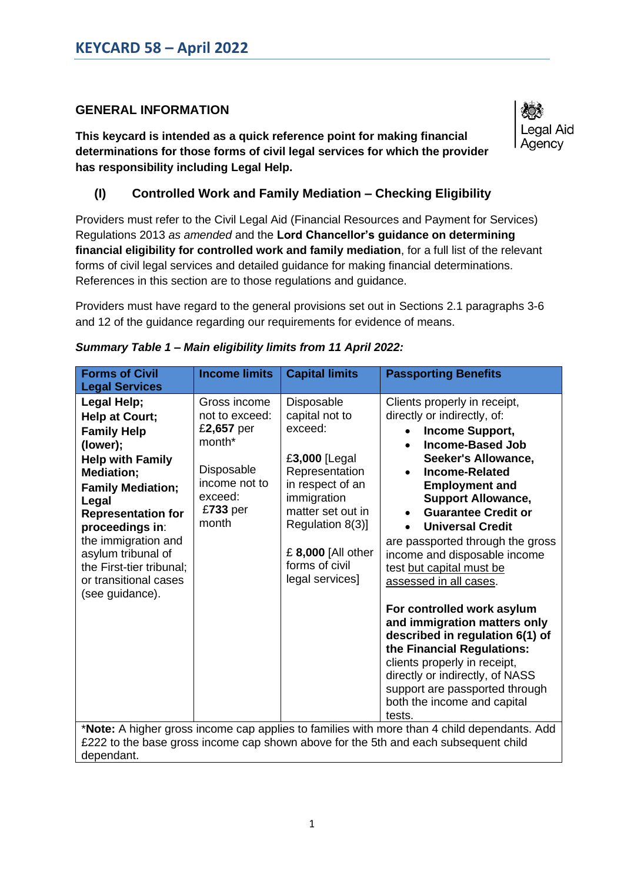# **GENERAL INFORMATION**

**This keycard is intended as a quick reference point for making financial determinations for those forms of civil legal services for which the provider has responsibility including Legal Help.** 



## **(I) Controlled Work and Family Mediation – Checking Eligibility**

Providers must refer to the Civil Legal Aid (Financial Resources and Payment for Services) Regulations 2013 *as amended* and the **Lord Chancellor's guidance on determining financial eligibility for controlled work and family mediation**, for a full list of the relevant forms of civil legal services and detailed guidance for making financial determinations. References in this section are to those regulations and guidance.

Providers must have regard to the general provisions set out in Sections 2.1 paragraphs 3-6 and 12 of the guidance regarding our requirements for evidence of means.

| <b>Forms of Civil</b><br><b>Legal Services</b>                                                                                                                                                                                                                                                                            | <b>Income limits</b>                                                                                                  | <b>Capital limits</b>                                                                                                                                                                                             | <b>Passporting Benefits</b>                                                                                                                                                                                                                                                                                                                                                                                                                                                                                                                                                                                                                                                                  |
|---------------------------------------------------------------------------------------------------------------------------------------------------------------------------------------------------------------------------------------------------------------------------------------------------------------------------|-----------------------------------------------------------------------------------------------------------------------|-------------------------------------------------------------------------------------------------------------------------------------------------------------------------------------------------------------------|----------------------------------------------------------------------------------------------------------------------------------------------------------------------------------------------------------------------------------------------------------------------------------------------------------------------------------------------------------------------------------------------------------------------------------------------------------------------------------------------------------------------------------------------------------------------------------------------------------------------------------------------------------------------------------------------|
| Legal Help;<br><b>Help at Court;</b><br><b>Family Help</b><br>(lower);<br><b>Help with Family</b><br>Mediation;<br><b>Family Mediation;</b><br>Legal<br><b>Representation for</b><br>proceedings in:<br>the immigration and<br>asylum tribunal of<br>the First-tier tribunal;<br>or transitional cases<br>(see guidance). | Gross income<br>not to exceed:<br>£2,657 per<br>month*<br>Disposable<br>income not to<br>exceed:<br>£733 per<br>month | Disposable<br>capital not to<br>exceed:<br>£3,000 [Legal<br>Representation<br>in respect of an<br>immigration<br>matter set out in<br>Regulation 8(3)]<br>£ 8,000 [All other<br>forms of civil<br>legal services] | Clients properly in receipt,<br>directly or indirectly, of:<br>Income Support,<br><b>Income-Based Job</b><br>Seeker's Allowance,<br><b>Income-Related</b><br><b>Employment and</b><br><b>Support Allowance,</b><br><b>Guarantee Credit or</b><br>$\bullet$<br><b>Universal Credit</b><br>are passported through the gross<br>income and disposable income<br>test but capital must be<br>assessed in all cases.<br>For controlled work asylum<br>and immigration matters only<br>described in regulation 6(1) of<br>the Financial Regulations:<br>clients properly in receipt,<br>directly or indirectly, of NASS<br>support are passported through<br>both the income and capital<br>tests. |
| *Note: A higher gross income cap applies to families with more than 4 child dependants. Add<br>£222 to the base gross income cap shown above for the 5th and each subsequent child                                                                                                                                        |                                                                                                                       |                                                                                                                                                                                                                   |                                                                                                                                                                                                                                                                                                                                                                                                                                                                                                                                                                                                                                                                                              |

|  |  |  |  |  | Summary Table 1 - Main eligibility limits from 11 April 2022: |  |  |
|--|--|--|--|--|---------------------------------------------------------------|--|--|
|--|--|--|--|--|---------------------------------------------------------------|--|--|

dependant.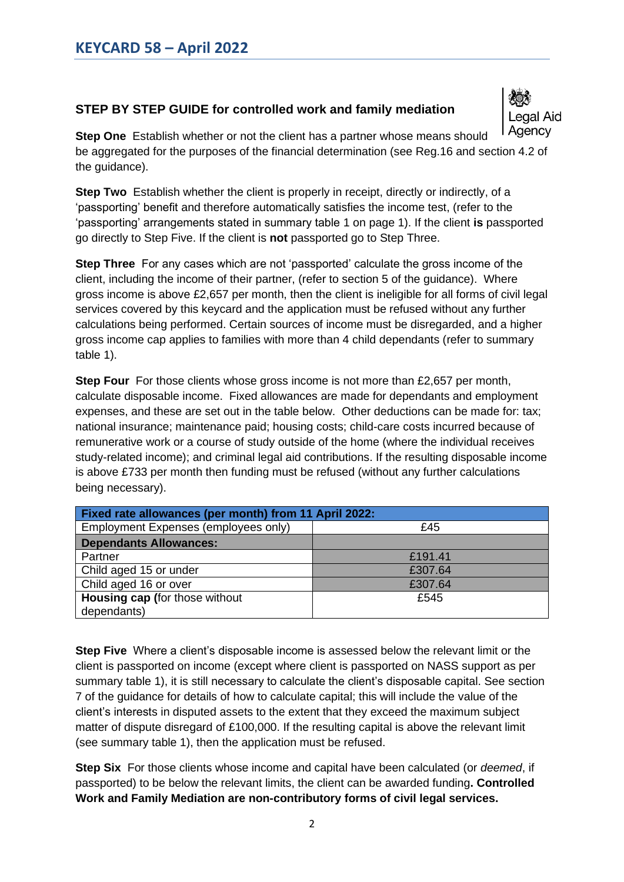### **STEP BY STEP GUIDE for controlled work and family mediation**



**Step One** Establish whether or not the client has a partner whose means should be aggregated for the purposes of the financial determination (see Reg.16 and section 4.2 of the guidance).

**Step Two** Establish whether the client is properly in receipt, directly or indirectly, of a 'passporting' benefit and therefore automatically satisfies the income test, (refer to the 'passporting' arrangements stated in summary table 1 on page 1). If the client **is** passported go directly to Step Five. If the client is **not** passported go to Step Three.

**Step Three** For any cases which are not 'passported' calculate the gross income of the client, including the income of their partner, (refer to section 5 of the guidance). Where gross income is above £2,657 per month, then the client is ineligible for all forms of civil legal services covered by this keycard and the application must be refused without any further calculations being performed. Certain sources of income must be disregarded, and a higher gross income cap applies to families with more than 4 child dependants (refer to summary table 1).

**Step Four** For those clients whose gross income is not more than £2,657 per month, calculate disposable income. Fixed allowances are made for dependants and employment expenses, and these are set out in the table below. Other deductions can be made for: tax; national insurance; maintenance paid; housing costs; child-care costs incurred because of remunerative work or a course of study outside of the home (where the individual receives study-related income); and criminal legal aid contributions. If the resulting disposable income is above £733 per month then funding must be refused (without any further calculations being necessary).

| <b>Fixed rate allowances (per month) from 11 April 2022:</b> |         |  |
|--------------------------------------------------------------|---------|--|
| Employment Expenses (employees only)                         | £45     |  |
| <b>Dependants Allowances:</b>                                |         |  |
| Partner                                                      | £191.41 |  |
| Child aged 15 or under                                       | £307.64 |  |
| Child aged 16 or over                                        | £307.64 |  |
| <b>Housing cap (for those without</b>                        | £545    |  |
| dependants)                                                  |         |  |

**Step Five** Where a client's disposable income is assessed below the relevant limit or the client is passported on income (except where client is passported on NASS support as per summary table 1), it is still necessary to calculate the client's disposable capital. See section 7 of the guidance for details of how to calculate capital; this will include the value of the client's interests in disputed assets to the extent that they exceed the maximum subject matter of dispute disregard of £100,000. If the resulting capital is above the relevant limit (see summary table 1), then the application must be refused.

**Step Six** For those clients whose income and capital have been calculated (or *deemed*, if passported) to be below the relevant limits, the client can be awarded funding**. Controlled Work and Family Mediation are non-contributory forms of civil legal services.**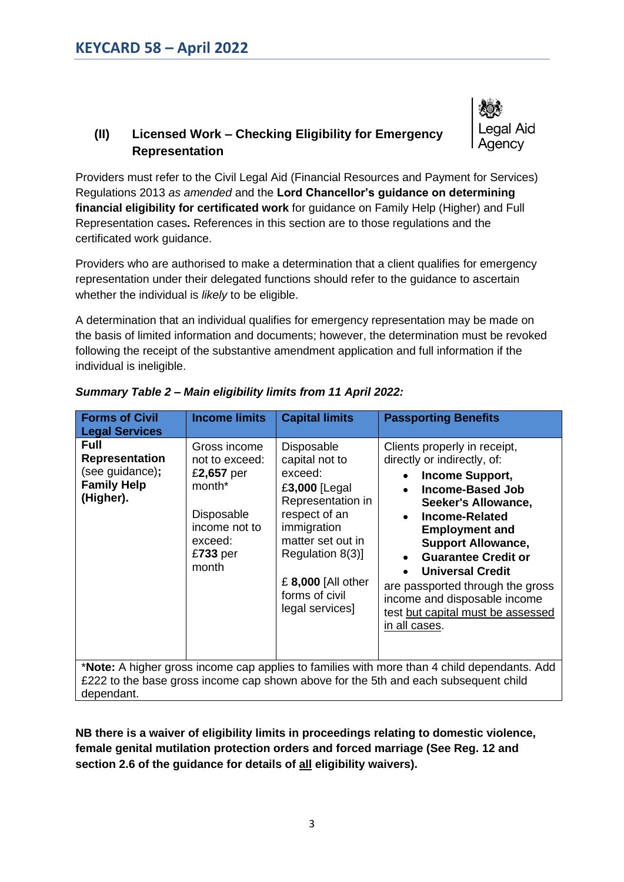## **(II) Licensed Work – Checking Eligibility for Emergency Representation**

Providers must refer to the Civil Legal Aid (Financial Resources and Payment for Services) Regulations 2013 *as amended* and the **Lord Chancellor's guidance on determining financial eligibility for certificated work** for guidance on Family Help (Higher) and Full Representation cases**.** References in this section are to those regulations and the certificated work guidance.

egal Aid

Providers who are authorised to make a determination that a client qualifies for emergency representation under their delegated functions should refer to the guidance to ascertain whether the individual is *likely* to be eligible.

A determination that an individual qualifies for emergency representation may be made on the basis of limited information and documents; however, the determination must be revoked following the receipt of the substantive amendment application and full information if the individual is ineligible.

| <b>Forms of Civil</b><br><b>Legal Services</b>                                                                                                                                                           | <b>Income limits</b>                                                                                                                | <b>Capital limits</b>                                                                                                                                                                                             | <b>Passporting Benefits</b>                                                                                                                                                                                                                                                                                                                                                                                                                            |
|----------------------------------------------------------------------------------------------------------------------------------------------------------------------------------------------------------|-------------------------------------------------------------------------------------------------------------------------------------|-------------------------------------------------------------------------------------------------------------------------------------------------------------------------------------------------------------------|--------------------------------------------------------------------------------------------------------------------------------------------------------------------------------------------------------------------------------------------------------------------------------------------------------------------------------------------------------------------------------------------------------------------------------------------------------|
| <b>Full</b><br><b>Representation</b><br>(see guidance);<br><b>Family Help</b><br>(Higher).                                                                                                               | Gross income<br>not to exceed:<br>£2,657 per<br>month <sup>*</sup><br>Disposable<br>income not to<br>exceed:<br>$£733$ per<br>month | Disposable<br>capital not to<br>exceed:<br>£3,000 [Legal<br>Representation in<br>respect of an<br>immigration<br>matter set out in<br>Regulation 8(3)]<br>£ 8,000 [All other<br>forms of civil<br>legal services] | Clients properly in receipt,<br>directly or indirectly, of:<br><b>Income Support,</b><br><b>Income-Based Job</b><br>$\bullet$<br>Seeker's Allowance,<br>Income-Related<br>$\bullet$<br><b>Employment and</b><br><b>Support Allowance,</b><br><b>Guarantee Credit or</b><br>$\bullet$<br><b>Universal Credit</b><br>$\bullet$<br>are passported through the gross<br>income and disposable income<br>test but capital must be assessed<br>in all cases. |
| * <b>Note:</b> A higher gross income cap applies to families with more than 4 child dependants. Add<br>£222 to the base gross income cap shown above for the 5th and each subsequent child<br>dependant. |                                                                                                                                     |                                                                                                                                                                                                                   |                                                                                                                                                                                                                                                                                                                                                                                                                                                        |

*Summary Table 2 – Main eligibility limits from 11 April 2022:*

**NB there is a waiver of eligibility limits in proceedings relating to domestic violence, female genital mutilation protection orders and forced marriage (See Reg. 12 and section 2.6 of the guidance for details of all eligibility waivers).**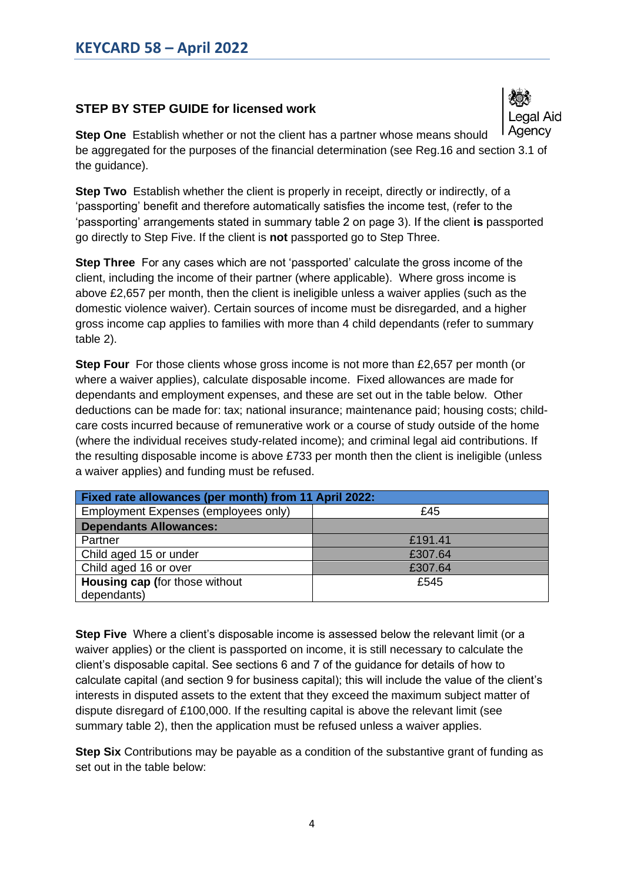### **STEP BY STEP GUIDE for licensed work**

egal Aid Agency

**Step One** Establish whether or not the client has a partner whose means should be aggregated for the purposes of the financial determination (see Reg.16 and section 3.1 of the guidance).

**Step Two** Establish whether the client is properly in receipt, directly or indirectly, of a 'passporting' benefit and therefore automatically satisfies the income test, (refer to the 'passporting' arrangements stated in summary table 2 on page 3). If the client **is** passported go directly to Step Five. If the client is **not** passported go to Step Three.

**Step Three** For any cases which are not 'passported' calculate the gross income of the client, including the income of their partner (where applicable). Where gross income is above £2,657 per month, then the client is ineligible unless a waiver applies (such as the domestic violence waiver). Certain sources of income must be disregarded, and a higher gross income cap applies to families with more than 4 child dependants (refer to summary table 2).

**Step Four** For those clients whose gross income is not more than £2,657 per month (or where a waiver applies), calculate disposable income. Fixed allowances are made for dependants and employment expenses, and these are set out in the table below. Other deductions can be made for: tax; national insurance; maintenance paid; housing costs; childcare costs incurred because of remunerative work or a course of study outside of the home (where the individual receives study-related income); and criminal legal aid contributions. If the resulting disposable income is above £733 per month then the client is ineligible (unless a waiver applies) and funding must be refused.

| <b>Fixed rate allowances (per month) from 11 April 2022:</b> |         |  |
|--------------------------------------------------------------|---------|--|
| Employment Expenses (employees only)                         | £45     |  |
| <b>Dependants Allowances:</b>                                |         |  |
| Partner                                                      | £191.41 |  |
| Child aged 15 or under                                       | £307.64 |  |
| Child aged 16 or over                                        | £307.64 |  |
| <b>Housing cap (for those without</b>                        | £545    |  |
| dependants)                                                  |         |  |

**Step Five** Where a client's disposable income is assessed below the relevant limit (or a waiver applies) or the client is passported on income, it is still necessary to calculate the client's disposable capital. See sections 6 and 7 of the guidance for details of how to calculate capital (and section 9 for business capital); this will include the value of the client's interests in disputed assets to the extent that they exceed the maximum subject matter of dispute disregard of £100,000. If the resulting capital is above the relevant limit (see summary table 2), then the application must be refused unless a waiver applies.

**Step Six** Contributions may be payable as a condition of the substantive grant of funding as set out in the table below: